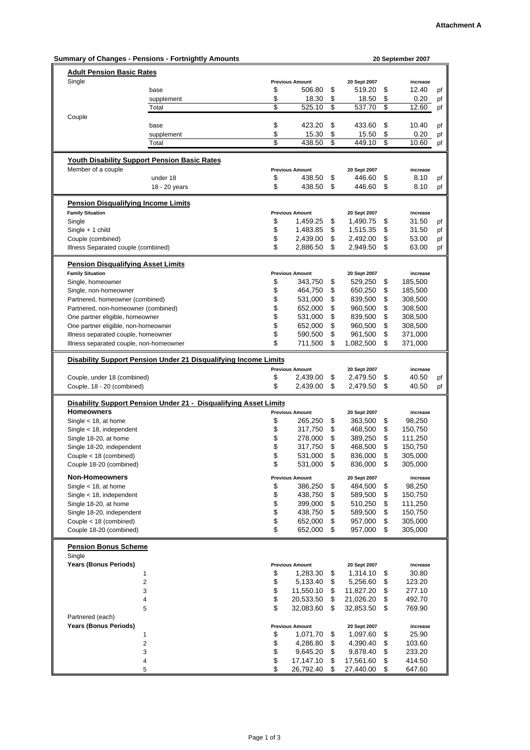|                                       | <b>Summary of Changes - Pensions - Fortnightly Amounts</b>       |                        |                 | 20 September 2007 |    |
|---------------------------------------|------------------------------------------------------------------|------------------------|-----------------|-------------------|----|
| <b>Adult Pension Basic Rates</b>      |                                                                  |                        |                 |                   |    |
| Single                                |                                                                  | <b>Previous Amount</b> | 20 Sept 2007    | increase          |    |
|                                       | base                                                             | \$<br>506.80           | \$<br>519.20    | \$<br>12.40       | pf |
|                                       | supplement                                                       | \$<br>18.30            | \$<br>18.50     | \$<br>0.20        | pf |
|                                       | Total                                                            | \$<br>525.10           | \$<br>537.70    | \$<br>12.60       | pf |
| Couple                                |                                                                  |                        |                 |                   |    |
|                                       | base                                                             | \$<br>423.20           | \$<br>433.60    | \$<br>10.40       | pf |
|                                       | supplement                                                       | \$<br>15.30            | \$<br>15.50     | \$<br>0.20        | pf |
|                                       | Total                                                            | \$<br>438.50           | \$<br>449.10    | \$<br>10.60       | pf |
|                                       |                                                                  |                        |                 |                   |    |
|                                       | <b>Youth Disability Support Pension Basic Rates</b>              |                        |                 |                   |    |
| Member of a couple                    |                                                                  | <b>Previous Amount</b> | 20 Sept 2007    | increase          |    |
|                                       | under 18                                                         | \$<br>438.50           | \$<br>446.60    | \$<br>8.10        | pf |
|                                       | 18 - 20 years                                                    | \$<br>438.50           | \$<br>446.60    | \$<br>8.10        | pf |
|                                       | <b>Pension Disqualifying Income Limits</b>                       |                        |                 |                   |    |
| <b>Family Situation</b>               |                                                                  | <b>Previous Amount</b> | 20 Sept 2007    | increase          |    |
| Single                                |                                                                  | \$<br>1,459.25         | \$<br>1,490.75  | \$<br>31.50       | pf |
| Single + 1 child                      |                                                                  | \$<br>1,483.85         | \$<br>1,515.35  | \$<br>31.50       | pf |
| Couple (combined)                     |                                                                  | \$<br>2,439.00         | \$<br>2,492.00  | \$<br>53.00       | pf |
| Illness Separated couple (combined)   |                                                                  | \$<br>2,886.50         | \$<br>2,949.50  | \$<br>63.00       | pf |
|                                       |                                                                  |                        |                 |                   |    |
|                                       | <b>Pension Disqualifying Asset Limits</b>                        |                        |                 |                   |    |
| <b>Family Situation</b>               |                                                                  | <b>Previous Amount</b> | 20 Sept 2007    | increase          |    |
| Single, homeowner                     |                                                                  | \$<br>343,750          | \$<br>529,250   | \$<br>185,500     |    |
| Single, non-homeowner                 |                                                                  | \$<br>464,750          | \$<br>650,250   | \$<br>185,500     |    |
| Partnered, homeowner (combined)       |                                                                  | \$<br>531,000          | \$<br>839,500   | \$<br>308,500     |    |
| Partnered, non-homeowner (combined)   |                                                                  | \$<br>652,000          | \$<br>960,500   | \$<br>308,500     |    |
| One partner eligible, homeowner       |                                                                  | \$<br>531,000          | \$<br>839,500   | \$<br>308,500     |    |
| One partner eligible, non-homeowner   |                                                                  | \$<br>652,000          | \$<br>960,500   | \$<br>308,500     |    |
|                                       |                                                                  | \$                     | \$              | \$                |    |
| Illness separated couple, homeowner   |                                                                  | 590,500                | 961,500         | 371,000           |    |
|                                       | Illness separated couple, non-homeowner                          | \$<br>711,500          | \$<br>1,082,500 | \$<br>371,000     |    |
|                                       | Disability Support Pension Under 21 Disqualifying Income Limits  |                        |                 |                   |    |
|                                       |                                                                  | <b>Previous Amount</b> | 20 Sept 2007    | increase          |    |
| Couple, under 18 (combined)           |                                                                  | \$<br>2,439.00         | \$<br>2,479.50  | \$<br>40.50       | pf |
| Couple, 18 - 20 (combined)            |                                                                  | \$<br>2,439.00         | \$<br>2,479.50  | \$<br>40.50       | pf |
|                                       | Disability Support Pension Under 21 - Disqualifying Asset Limits |                        |                 |                   |    |
| <b>Homeowners</b>                     |                                                                  | <b>Previous Amount</b> | 20 Sept 2007    | increase          |    |
| Single $<$ 18, at home                |                                                                  | \$<br>265,250          | \$<br>363,500   | \$<br>98,250      |    |
| Single $<$ 18, independent            |                                                                  | \$<br>317,750          | \$<br>468,500   | \$<br>150,750     |    |
| Single 18-20, at home                 |                                                                  | \$<br>278,000          | \$<br>389,250   | \$<br>111,250     |    |
| Single 18-20, independent             |                                                                  | \$<br>317,750          | \$<br>468,500   | \$<br>150,750     |    |
|                                       |                                                                  |                        |                 |                   |    |
| Couple < 18 (combined)                |                                                                  | \$<br>531,000          | \$<br>836,000   | \$<br>305,000     |    |
| Couple 18-20 (combined)               |                                                                  | \$<br>531,000          | \$<br>836,000   | \$<br>305,000     |    |
| <b>Non-Homeowners</b>                 |                                                                  | <b>Previous Amount</b> | 20 Sept 2007    | increase          |    |
| Single $<$ 18, at home                |                                                                  | \$<br>386,250          | \$<br>484,500   | \$<br>98,250      |    |
| Single $<$ 18, independent            |                                                                  | \$<br>438,750          | \$<br>589,500   | \$<br>150,750     |    |
| Single 18-20, at home                 |                                                                  | \$<br>399,000          | \$<br>510,250   | \$<br>111,250     |    |
| Single 18-20, independent             |                                                                  | \$<br>438,750          | \$<br>589,500   | \$<br>150,750     |    |
| Couple < 18 (combined)                |                                                                  | \$<br>652,000          | \$<br>957,000   | \$<br>305,000     |    |
| Couple 18-20 (combined)               |                                                                  | \$<br>652,000          | \$<br>957,000   | \$<br>305,000     |    |
|                                       |                                                                  |                        |                 |                   |    |
| <b>Pension Bonus Scheme</b><br>Single |                                                                  |                        |                 |                   |    |
| <b>Years (Bonus Periods)</b>          |                                                                  | <b>Previous Amount</b> | 20 Sept 2007    | increase          |    |
|                                       | $\mathbf{1}$                                                     | \$<br>1,283.30         | \$<br>1,314.10  | \$<br>30.80       |    |
|                                       | $\boldsymbol{2}$                                                 | \$<br>5,133.40         | \$<br>5,256.60  | \$<br>123.20      |    |
|                                       | 3                                                                | \$<br>11,550.10        | \$<br>11,827.20 | \$<br>277.10      |    |
|                                       | 4                                                                | \$<br>20,533.50        | \$<br>21,026.20 | \$<br>492.70      |    |
|                                       |                                                                  |                        |                 |                   |    |
|                                       | 5                                                                | \$<br>32,083.60        | \$<br>32,853.50 | \$<br>769.90      |    |
| Partnered (each)                      |                                                                  |                        |                 |                   |    |
| <b>Years (Bonus Periods)</b>          |                                                                  | <b>Previous Amount</b> | 20 Sept 2007    | increase          |    |
|                                       | 1                                                                | \$<br>1,071.70         | \$<br>1,097.60  | \$<br>25.90       |    |
|                                       | $\boldsymbol{2}$                                                 | \$<br>4,286.80         | \$<br>4,390.40  | \$<br>103.60      |    |
|                                       | 3                                                                | \$<br>9,645.20         | \$<br>9,878.40  | \$<br>233.20      |    |
|                                       | 4                                                                | \$<br>17,147.10        | \$<br>17,561.60 | \$<br>414.50      |    |
|                                       | 5                                                                | \$<br>26,792.40        | \$<br>27,440.00 | \$<br>647.60      |    |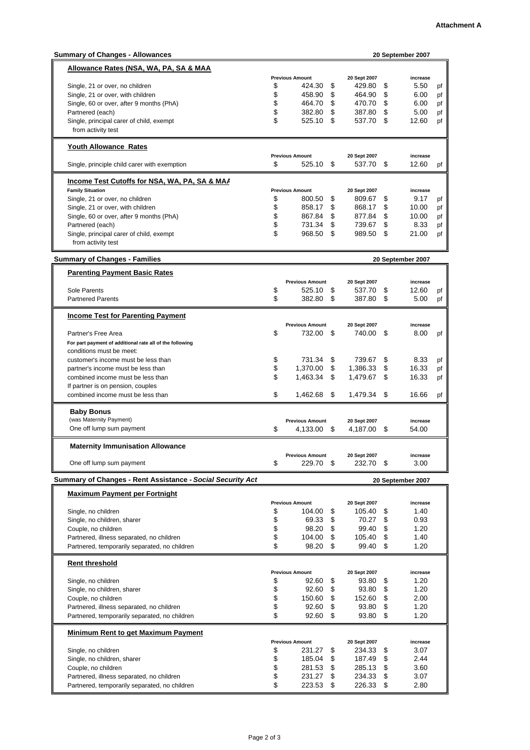| <b>Summary of Changes - Allowances</b>                     |                        |    |              |      | 20 September 2007 |    |
|------------------------------------------------------------|------------------------|----|--------------|------|-------------------|----|
| Allowance Rates (NSA, WA, PA, SA & MAA                     |                        |    |              |      |                   |    |
|                                                            | <b>Previous Amount</b> |    | 20 Sept 2007 |      | increase          |    |
|                                                            | \$                     |    |              |      | 5.50              |    |
| Single, 21 or over, no children                            | 424.30                 | \$ | 429.80       | \$   |                   | pf |
| Single, 21 or over, with children                          | \$<br>458.90           | \$ | 464.90       | \$   | 6.00              | pf |
| Single, 60 or over, after 9 months (PhA)                   | \$<br>464.70           | \$ | 470.70       | \$   | 6.00              | pf |
| Partnered (each)                                           | \$<br>382.80           | \$ | 387.80       | \$   | 5.00              | pf |
| Single, principal carer of child, exempt                   | \$<br>525.10           | \$ | 537.70       | \$   | 12.60             | pf |
| from activity test                                         |                        |    |              |      |                   |    |
|                                                            |                        |    |              |      |                   |    |
| <b>Youth Allowance Rates</b>                               |                        |    |              |      |                   |    |
|                                                            | <b>Previous Amount</b> |    | 20 Sept 2007 |      | increase          |    |
| Single, principle child carer with exemption               | \$<br>525.10           | \$ | 537.70 \$    |      | 12.60             | pf |
|                                                            |                        |    |              |      |                   |    |
| <b>Income Test Cutoffs for NSA, WA, PA, SA &amp; MAA</b>   |                        |    |              |      |                   |    |
| <b>Family Situation</b>                                    | <b>Previous Amount</b> |    | 20 Sept 2007 |      | increase          |    |
| Single, 21 or over, no children                            | \$<br>800.50           | \$ | 809.67       | \$   | 9.17              | pf |
| Single, 21 or over, with children                          | \$<br>858.17           | \$ | 868.17       | \$   | 10.00             | pf |
| Single, 60 or over, after 9 months (PhA)                   | \$<br>867.84           | \$ | 877.84       | \$   | 10.00             | pf |
| Partnered (each)                                           | \$<br>731.34           | \$ | 739.67       | \$   | 8.33              | pf |
| Single, principal carer of child, exempt                   | \$<br>968.50           | \$ | 989.50       | \$   | 21.00             | pf |
| from activity test                                         |                        |    |              |      |                   |    |
|                                                            |                        |    |              |      |                   |    |
| <b>Summary of Changes - Families</b>                       |                        |    |              |      | 20 September 2007 |    |
|                                                            |                        |    |              |      |                   |    |
| <b>Parenting Payment Basic Rates</b>                       |                        |    |              |      |                   |    |
|                                                            | <b>Previous Amount</b> |    | 20 Sept 2007 |      | increase          |    |
| Sole Parents                                               | \$<br>525.10           | \$ | 537.70       | \$   | 12.60             | pf |
| <b>Partnered Parents</b>                                   | \$<br>382.80           | \$ | 387.80       | \$   | 5.00              | pf |
|                                                            |                        |    |              |      |                   |    |
| <b>Income Test for Parenting Payment</b>                   |                        |    |              |      |                   |    |
|                                                            | <b>Previous Amount</b> |    | 20 Sept 2007 |      | increase          |    |
| Partner's Free Area                                        | \$<br>732.00 \$        |    | 740.00       | - \$ | 8.00              | pf |
| For part payment of additional rate all of the following   |                        |    |              |      |                   |    |
| conditions must be meet:                                   |                        |    |              |      |                   |    |
| customer's income must be less than                        | \$<br>731.34           | \$ | 739.67       | \$   | 8.33              | pf |
| partner's income must be less than                         | \$<br>1,370.00         | \$ | 1,386.33     | \$   | 16.33             |    |
|                                                            |                        |    |              |      |                   | pf |
| combined income must be less than                          | \$<br>1,463.34         | \$ | 1,479.67     | \$   | 16.33             | pf |
| If partner is on pension, couples                          |                        |    |              |      |                   |    |
| combined income must be less than                          | \$<br>1,462.68         | \$ | 1,479.34     | \$   | 16.66             | pf |
|                                                            |                        |    |              |      |                   |    |
| <b>Baby Bonus</b>                                          |                        |    |              |      |                   |    |
| (was Maternity Payment)                                    | <b>Previous Amount</b> |    | 20 Sept 2007 |      | increase          |    |
| One off lump sum payment                                   | \$<br>4,133.00 \$      |    | 4,187.00 \$  |      | 54.00             |    |
|                                                            |                        |    |              |      |                   |    |
| <b>Maternity Immunisation Allowance</b>                    |                        |    |              |      |                   |    |
|                                                            | <b>Previous Amount</b> |    | 20 Sept 2007 |      | increase          |    |
| One off lump sum payment                                   | \$<br>229.70           | S  | 232.70       | \$   | 3.00              |    |
|                                                            |                        |    |              |      |                   |    |
| Summary of Changes - Rent Assistance - Social Security Act |                        |    |              |      | 20 September 2007 |    |
|                                                            |                        |    |              |      |                   |    |
| <b>Maximum Payment per Fortnight</b>                       |                        |    |              |      |                   |    |
|                                                            | <b>Previous Amount</b> |    | 20 Sept 2007 |      | increase          |    |
| Single, no children                                        | \$<br>104.00           | \$ | 105.40       | \$   | 1.40              |    |
| Single, no children, sharer                                | \$<br>69.33 \$         |    | 70.27        | \$   | 0.93              |    |
| Couple, no children                                        | \$<br>98.20            | \$ | 99.40        | \$   | 1.20              |    |
| Partnered, illness separated, no children                  | \$<br>104.00           | \$ | 105.40       | \$   | 1.40              |    |
| Partnered, temporarily separated, no children              | \$<br>98.20            | \$ | 99.40        | \$   | 1.20              |    |
|                                                            |                        |    |              |      |                   |    |
| <b>Rent threshold</b>                                      |                        |    |              |      |                   |    |
|                                                            | <b>Previous Amount</b> |    | 20 Sept 2007 |      | increase          |    |
| Single, no children                                        | \$<br>92.60            | \$ | 93.80        | \$   | 1.20              |    |
| Single, no children, sharer                                | \$<br>92.60            | \$ | 93.80        | \$   | 1.20              |    |
| Couple, no children                                        | \$<br>150.60           | \$ | 152.60       | \$   | 2.00              |    |
| Partnered, illness separated, no children                  | \$<br>92.60            | \$ | 93.80        | \$   | 1.20              |    |
| Partnered, temporarily separated, no children              | \$<br>92.60            | \$ | 93.80        | \$   | 1.20              |    |
|                                                            |                        |    |              |      |                   |    |
| <b>Minimum Rent to get Maximum Payment</b>                 |                        |    |              |      |                   |    |
|                                                            | <b>Previous Amount</b> |    | 20 Sept 2007 |      | increase          |    |
| Single, no children                                        | \$<br>231.27           | \$ | 234.33       | \$   | 3.07              |    |
|                                                            | 185.04                 | \$ | 187.49       | \$   | 2.44              |    |
| Single, no children, sharer                                | \$                     |    |              |      |                   |    |
| Couple, no children                                        | \$<br>281.53           | \$ | 285.13       | \$   | 3.60              |    |
| Partnered, illness separated, no children                  | \$<br>231.27           | \$ | 234.33       | \$   | 3.07              |    |
| Partnered, temporarily separated, no children              | \$<br>223.53           | \$ | 226.33       | \$   | 2.80              |    |